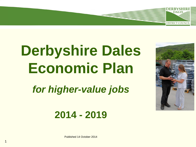# **Derbyshire Dales Economic Plan**

*for higher-value jobs*





**DALES** 

**DISTRICT COUNCI** 

Published 14 October 2014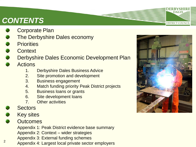## *CONTENTS*

- Corporate Plan
- The Derbyshire Dales economy
- **Priorities**
- **Context**
- Derbyshire Dales Economic Development Plan
- **Actions** 
	- 1. Derbyshire Dales Business Advice
	- 2. Site promotion and development
	- 3. Business engagement
	- 4. Match funding priority Peak District projects
	- 5. Business loans or grants
	- 6. Site development loans
	- 7. Other activities
- **Sectors**
- Key sites
- **Outcomes**

Appendix 1: Peak District evidence base summary Appendix 2: Context – wider strategies Appendix 3: External funding schemes

<sup>2</sup> Appendix 4: Largest local private sector employers



**DALES**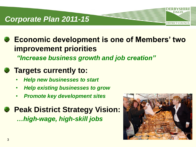### *Corporate Plan 2011-15*

**Economic development is one of Members' two improvement priorities**  *"Increase business growth and job creation"*

#### **Targets currently to:**

- *Help new businesses to start*
- *Help existing businesses to grow*
- *Promote key development sites*

**Peak District Strategy Vision:** *…high-wage, high-skill jobs*

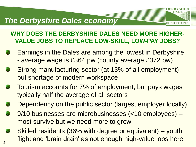#### *The Derbyshire Dales economy*

4



- Earnings in the Dales are among the lowest in Derbyshire
	- average wage is £364 pw (county average £372 pw)
- Strong manufacturing sector (at 13% of all employment) but shortage of modern workspace
- Tourism accounts for 7% of employment, but pays wages typically half the average of all sectors
- Dependency on the public sector (largest employer locally)
- 9/10 businesses are microbusinesses (<10 employees) most survive but we need more to grow
- Skilled residents (36% with degree or equivalent) youth flight and 'brain drain' as not enough high-value jobs here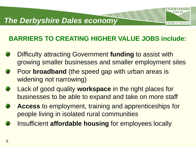#### *The Derbyshire Dales economy*

#### **BARRIERS TO CREATING HIGHER VALUE JOBS include:**

- Difficulty attracting Government **funding** to assist with growing smaller businesses and smaller employment sites
- Poor **broadband** (the speed gap with urban areas is widening not narrowing)
- Lack of good quality **workspace** in the right places for businesses to be able to expand and take on more staff
- **Access** to employment, training and apprenticeships for people living in isolated rural communities
- Insufficient **affordable housing** for employees locally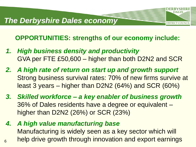**OPPORTUNITIES: strengths of our economy include:**

- *1. High business density and productivity* GVA per FTE £50,600 – higher than both D2N2 and SCR
- *2. A high rate of return on start up and growth support* Strong business survival rates: 70% of new firms survive at least 3 years – higher than D2N2 (64%) and SCR (60%)
- *3. Skilled workforce – a key enabler of business growth* 36% of Dales residents have a degree or equivalent – higher than D2N2 (26%) or SCR (23%)
- *4. A high value manufacturing base* Manufacturing is widely seen as a key sector which will <sub>6</sub> help drive growth through innovation and export earnings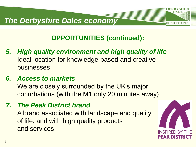#### *The Derbyshire Dales economy*



- *5. High quality environment and high quality of life* Ideal location for knowledge-based and creative businesses
- *6. Access to markets*

We are closely surrounded by the UK's major conurbations (with the M1 only 20 minutes away)

*7. The Peak District brand*

A brand associated with landscape and quality of life, and with high quality products and services

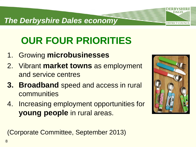#### *The Derbyshire Dales economy*

# **OUR FOUR PRIORITIES**

- 1. Growing **microbusinesses**
- 2. Vibrant **market towns** as employment and service centres
- **3. Broadband** speed and access in rural communities
- 4. Increasing employment opportunities for **young people** in rural areas.



**DISTRICT COUNC** 

(Corporate Committee, September 2013)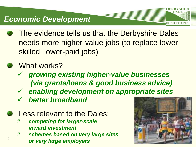#### *Economic Development*

- The evidence tells us that the Derbyshire Dales needs more higher-value jobs (to replace lowerskilled, lower-paid jobs)
- **What works?** 
	- *growing existing higher-value businesses (via grants/loans & good business advice)*
	- *enabling development on appropriate sites*
	- *better broadband*
	- Less relevant to the Dales:
		- # *competing for larger-scale inward investment*
- # *schemes based on very large sites or very large employers* <sup>9</sup>

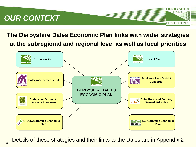## *OUR CONTEXT*

#### **The Derbyshire Dales Economic Plan links with wider strategies at the subregional and regional level as well as local priorities**

**FRBYSHIR DALES** 

**DISTRICT COUNCIL** 



Details of these strategies and their links to the Dales are in Appendix 2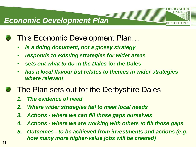## **This Economic Development Plan...**

- *is a doing document, not a glossy strategy*
- *responds to existing strategies for wider areas*
- *sets out what to do* **in** *the Dales* **for** *the Dales*
- *has a local flavour but relates to themes in wider strategies where relevant*

DALES

**DISTRICT COUNCI** 

## **The Plan sets out for the Derbyshire Dales**

- *1. The evidence of need*
- *2. Where wider strategies fail to meet local needs*
- *3. Actions - where we can fill those gaps ourselves*
- *4. Actions - where we are working with others to fill those gaps*
- *5. Outcomes - to be achieved from investments and actions (e.g. how many more higher-value jobs will be created)*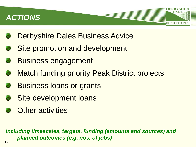## *ACTIONS*

- Derbyshire Dales Business Advice
- Site promotion and development
- Business engagement
- **Match funding priority Peak District projects**

**DISTRICT COUNCI** 

- Business loans or grants
- Site development loans
- **S** Other activities

*including timescales, targets, funding (amounts and sources) and planned outcomes (e.g. nos. of jobs)*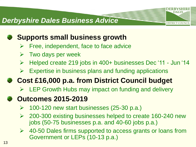#### *Derbyshire Dales Business Advice*

## **Supports small business growth**

- $\triangleright$  Free, independent, face to face advice
- $\triangleright$  Two days per week
- Helped create 219 jobs in 400+ businesses Dec '11 Jun '14

**DISTRICT COUNCI** 

 $\triangleright$  Expertise in business plans and funding applications

## **Cost £16,000 p.a. from District Council budget**

 $\triangleright$  LEP Growth Hubs may impact on funding and delivery

### **Outcomes 2015-2019**

- $\geq$  100-120 new start businesses (25-30 p.a.)
- 200-300 existing businesses helped to create 160-240 new jobs (50-75 businesses p.a. and 40-60 jobs p.a.)
- $\triangleright$  40-50 Dales firms supported to access grants or loans from Government or LEPs (10-13 p.a.)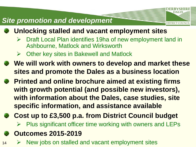#### *Site promotion and development*

- **Unlocking stalled and vacant employment sites**
	- Draft Local Plan identifies 19ha of new employment land in Ashbourne, Matlock and Wirksworth

- Other key sites in Bakewell and Matlock
- **We will work with owners to develop and market these sites and promote the Dales as a business location**
- **Printed and online brochure aimed at existing firms with growth potential (and possible new investors), with information about the Dales, case studies, site specific information, and assistance available**
- **Cost up to £3,500 p.a. from District Council budget**  $\triangleright$  Plus significant officer time working with owners and LEPs
- **Outcomes 2015-2019**
- $14 \rightarrow$  New jobs on stalled and vacant employment sites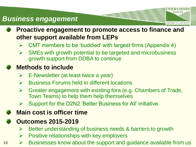#### *Business engagement*

**Proactive engagement to promote access to finance and other support available from LEPs**

**DISTRICT COUNCI** 

- $\triangleright$  CMT members to be 'buddied' with largest firms (Appendix 4)
- $\triangleright$  SMEs with growth potential to be targeted and microbusiness growth support from DDBA to continue

#### **Methods to include**

- $\triangleright$  E-Newsletter (at least twice a year)
- $\triangleright$  Business Forums held in different locations
- $\triangleright$  Greater engagement with existing fora (e.g. Chambers of Trade, Town Teams) to help them help themselves
- $\triangleright$  Support for the D2N2 'Better Business for All' initiative

#### **Main cost is officer time**

#### **Outcomes 2015-2019**

- $\triangleright$  Better understanding of business needs & barriers to growth
- $\triangleright$  Positive relationships with key employers
- $15 \rightarrow$  Businesses know about the support and guidance available from us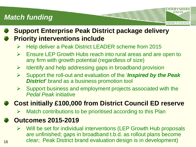### *Match funding*

**Support Enterprise Peak District package delivery Priority interventions include**

- Help deliver a Peak District LEADER scheme from 2015
- $\triangleright$  Ensure LEP Growth Hubs reach into rural areas and are open to any firm with growth potential (regardless of size)

**DISTRICT COUNCI** 

- $\triangleright$  Identify and help addressing gaps in broadband provision
- Support the roll-out and evaluation of the '*Inspired by the Peak District***'** brand as a business promotion tool
- $\triangleright$  Support business and employment projects associated with the *Pedal Peak* initiative

**Cost initially £100,000 from District Council ED reserve**

Match contributions to be prioritised according to this Plan

#### **Outcomes 2015-2019**

 $\triangleright$  Will be set for individual interventions (LEP Growth Hub proposals are unfinished; gaps in broadband t.b.d. as rollout plans become <sub>16</sub> clear; Peak District brand evaluation design is in development)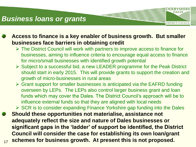#### *Business loans or grants*

**Access to finance is a key enabler of business growth. But smaller businesses face barriers in obtaining credit**

 The District Council will work with partners to improve access to finance for businesses, aiming to influence criteria to encourage equal access to finance for micro/small businesses with identified growth potential

**DISTRICT COUNCIL** 

- $\triangleright$  Subject to a successful bid, a new LEADER programme for the Peak District should start in early 2015. This will provide grants to support the creation and growth of micro-businesses in rural areas
- $\triangleright$  Grant support for smaller businesses is anticipated via the EAFRD funding overseen by LEPs. The LEPs also control larger business grant and loan funds which may cover the Dales. The District Council's approach will be to influence external funds so that they are aligned with local needs

 $\triangleright$  SCR is to consider expanding Finance Yorkshire gap funding into the Dales

**Should these opportunities not materialise, assistance not adequately reflect the size and nature of Dales businesses or significant gaps in the 'ladder' of support be identified, the District Council will consider the case for establishing its own loan/grant**  <sub>17</sub> schemes for business growth. At present this is not proposed.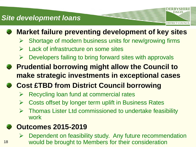#### *Site development loans*



## **Market failure preventing development of key sites**

**DISTRICT COUNCI** 

- $\triangleright$  Shortage of modern business units for new/growing firms
- $\triangleright$  Lack of infrastructure on some sites
- $\triangleright$  Developers failing to bring forward sites with approvals
- **Prudential borrowing might allow the Council to make strategic investments in exceptional cases**
- **Cost £TBD from District Council borrowing**
	- $\triangleright$  Recycling loan fund at commercial rates
	- Costs offset by longer term uplift in Business Rates
	- $\triangleright$  Thomas Lister Ltd commissioned to undertake feasibility work

#### **Outcomes 2015-2019**

 $\triangleright$  Dependent on feasibility study. Any future recommendation <sup>18</sup> would be brought to Members for their consideration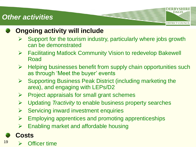#### *Other activities*



#### **Ongoing activity will include**

 $\triangleright$  Support for the tourism industry, particularly where jobs growth can be demonstrated

**DALES** 

**DISTRICT COUNCIL** 

- Facilitating Matlock Community Vision to redevelop Bakewell Road
- $\triangleright$  Helping businesses benefit from supply chain opportunities such as through 'Meet the buyer' events
- $\triangleright$  Supporting Business Peak District (including marketing the area), and engaging with LEPs/D2
- $\triangleright$  Project appraisals for small grant schemes
- Updating *Tractivity* to enable business property searches
- $\triangleright$  Servicing inward investment enquiries
- $\triangleright$  Employing apprentices and promoting apprenticeships
- $\triangleright$  Enabling market and affordable housing

### **Costs**

 $19 \rightarrow$  Officer time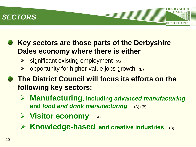#### *SECTORS*

#### **Key sectors are those parts of the Derbyshire Dales economy where there is either**

- $\triangleright$  significant existing employment (A)
- $\triangleright$  opportunity for higher-value jobs growth  $(B)$
- **Example 2 The District Council will focus its efforts on the following key sectors:**
	- **Manufacturing, including** *advanced manufacturing* **and** *food and drink manufacturing* (A)+(B)

- **Visitor economy** (A)
- **Knowledge-based and creative industries** (B)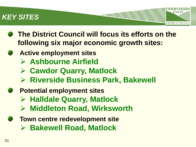#### *KEY SITES*

**The District Council will focus its efforts on the following six major economic growth sites:**

- **Active employment sites**
	- **Ashbourne Airfield**
	- **Cawdor Quarry, Matlock**
	- **Riverside Business Park, Bakewell**
- **Potential employment sites** 
	- **Halldale Quarry, Matlock**
	- **Middleton Road, Wirksworth**
- **Town centre redevelopment site Bakewell Road, Matlock**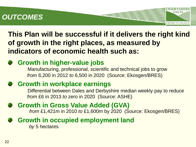### *OUTCOMES*

**This Plan will be successful if it delivers the right kind of growth in the right places, as measured by indicators of economic health such as:**

**DISTRICT COUNCI** 

**Growth in higher-value jobs** Manufacturing, professional, scientific and technical jobs to grow *from* 6,200 in 2012 *to* 6,500 in 2020 (Source: Ekosgen/BRES)

#### **Growth in workplace earnings**

Differential between Dales and Derbyshire median weekly pay to reduce *from* £6 in 2013 *to* zero in 2020 (Source: ASHE)

**Growth in Gross Value Added (GVA)** *from* £1,421m in 2010 *to* £1,600m by 2020 (Source: Ekosgen/BRES)

**Growth in occupied employment land** *by* 5 hectares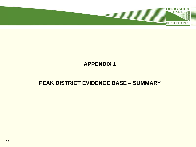

#### **APPENDIX 1**

#### **PEAK DISTRICT EVIDENCE BASE – SUMMARY**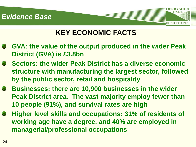

## **KEY ECONOMIC FACTS**

- **GVA: the value of the output produced in the wider Peak District (GVA) is £3.8bn**
- **Sectors: the wider Peak District has a diverse economic structure with manufacturing the largest sector, followed by the public sector, retail and hospitality**
- **Businesses: there are 10,900 businesses in the wider Peak District area. The vast majority employ fewer than 10 people (91%), and survival rates are high**
- **Higher level skills and occupations: 31% of residents of working age have a degree, and 40% are employed in managerial/professional occupations**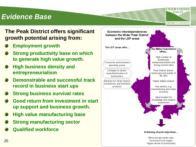#### *Evidence Base*



#### **The Peak District offers significant growth potential arising from:**

- **Employment growth**
- **Strong productivity base on which to generate high value growth.**
- **High business density and entrepreneurialism**
- **Demonstrable and successful track record in business start ups**
- **Strong business survival rates**
- **Good return from investment in start up support and business growth.**
- **High value manufacturing base**
- **Strong manufacturing sector**
- **Qualified workforce**

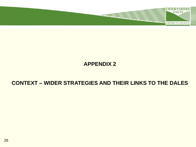

#### **APPENDIX 2**

#### **CONTEXT – WIDER STRATEGIES AND THEIR LINKS TO THE DALES**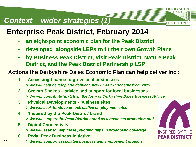### *Context – wider strategies (1)*

## **Enterprise Peak District, February 2014**

- **an eight-point economic plan for the Peak District**
- **developed alongside LEPs to fit their own Growth Plans**
- **by Business Peak District, Visit Peak District, Nature Peak District, and the Peak District Partnership LSP**

#### **Actions the Derbyshire Dales Economic Plan can help deliver incl:**

- **1. Accessing finance to grow local businesses**  *> We will help develop and deliver a new LEADER scheme from 2015*
- **2. Growth Spokes – advice and support for local businesses**  *> We will contribute 'match' in the form of Derbyshire Dales Business Advice*
- **3. Physical Developments - business sites**  *> We will seek funds to unlock stalled employment sites*
- **4. 'Inspired by the Peak District' brand**  *> We will support the Peak District brand as a business promotion tool*
- **5. Digital Connectivity** 
	- *> We will seek to help those plugging gaps in broadband coverage*
- **6. Pedal Peak Business Initiative**
- 27 *> We will support associated business and employment projects*



**DALES**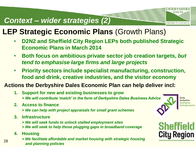### *Context – wider strategies (2)*

## **LEP Strategic Economic Plans** (Growth Plans)

- **D2N2 and Sheffield City Region LEPs both published Strategic Economic Plans in March 2014**
- **Both focus on ambitious private sector job creation targets,** *but tend to emphasise large firms and large projects*
- **Priority sectors include specialist manufacturing, construction, food and drink, creative industries, and the visitor economy**

#### **Actions the Derbyshire Dales Economic Plan can help deliver incl:**

- **1. Support for new and existing businesses to grow**  *> We will contribute 'match' in the form of Derbyshire Dales Business Advice*
- **2. Access to finance** 
	- *> We can help with project appraisals for small grant schemes*
- **3. Infrastructure** 
	- *> We will seek funds to unlock stalled employment sites*
	- *> We will seek to help those plugging gaps in broadband coverage*
- **4. Housing**
- *> We facilitate affordable and market housing with strategic housing and planning policies* <sup>28</sup>



**DALES** 

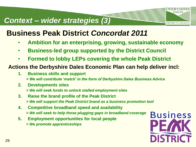#### *Context – wider strategies (3)*

## **Business Peak District** *Concordat 2011*

- **Ambition for an enterprising, growing, sustainable economy**
- **Business-led group supported by the District Council**
- **Formed to lobby LEPs covering the whole Peak District**

#### **Actions the Derbyshire Dales Economic Plan can help deliver incl:**

- **1. Business skills and support**  *> We will contribute 'match' in the form of Derbyshire Dales Business Advice*
- **2. Developments sites** 
	- *> We will seek funds to unlock stalled employment sites*
- **3. Raise the brand profile of the Peak District**  *> We will support the Peak District brand as a business promotion tool*
- **4. Competitive broadband speed and availability**  *> We will seek to help those plugging gaps in broadband coverage*
- **5. Employment opportunities for local people**  *> We promote apprenticeships*



**DALES**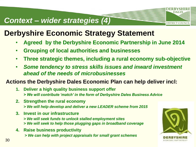#### *Context – wider strategies (4)*

## **Derbyshire Economic Strategy Statement**

- **Agreed by the Derbyshire Economic Partnership in June 2014**
- **Grouping of local authorities and businesses**
- **Three strategic themes, including a rural economy sub-objective**
- *Some tendency to stress skills issues and inward investment ahead of the needs of microbusinesses*

#### **Actions the Derbyshire Dales Economic Plan can help deliver incl:**

- **1. Deliver a high quality business support offer**  *> We will contribute 'match' in the form of Derbyshire Dales Business Advice*
- **2. Strengthen the rural economy** 
	- *> We will help develop and deliver a new LEADER scheme from 2015*
- **3. Invest in our infrastructure** 
	- *> We will seek funds to unlock stalled employment sites*
	- *> We will seek to help those plugging gaps in broadband coverage*
- **4. Raise business productivity**
	- *> We can help with project appraisals for small grant schemes*



**DALES**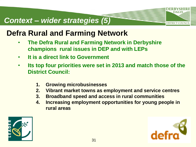## *Context – wider strategies (5)*

## **Defra Rural and Farming Network**

- **The Defra Rural and Farming Network in Derbyshire champions rural issues in DEP and with LEPs**
- **It is a direct link to Government**
- **Its top four priorities were set in 2013 and match those of the District Council:** 
	- **1. Growing microbusinesses**
	- **2. Vibrant market towns as employment and service centres**
	- **3. Broadband speed and access in rural communities**
	- **4. Increasing employment opportunities for young people in rural areas**



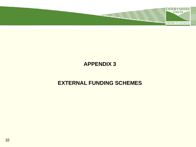

#### **APPENDIX 3**

#### **EXTERNAL FUNDING SCHEMES**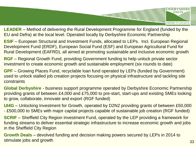

**LEADER** – Method of delivering the Rural Development Programme for England (funded by the EU and Defra) at the local level. Operated locally by Derbyshire Economic Partnership

**ESIF** – European Structural and Investment Funds, allocated to LEPs. Incl. European Regional Development Fund (ERDF), European Social Fund (ESF) and European Agricultural Fund for Rural Development (EAFRD), all aimed at promoting sustainable and inclusive economic growth

**RGF** – Regional Growth Fund, providing Government funding to help unlock private sector investment to create economic growth and sustainable employment (six rounds to date)

**GPF** – Growing Places Fund, recyclable loan fund operated by LEPs (funded by Government) used to unlock stalled job creation projects focusing on physical infrastructure and tackling site constraints

**Global Derbyshire** - business support programme operated by Derbyshire Economic Partnership providing grants of between £4,000 and £75,000 to pre-start, start-ups and existing SMEs looking to grow, collaborate, innovate and export (RGF funded)

**UI4G** – Unlocking Investment for Growth, operated by D2N2 providing grants of between £50,000 - £500,000 to SMEs with major capital projects capable of sustainable job creation (RGF funded)

**SCRIF** – Sheffield City Region Investment Fund, operated by the LEP providing a framework for funding streams to deliver essential strategic infrastructure to increase economic growth and jobs in the Sheffield City Region

**Growth Deals** – devolved funding and decision making powers secured by LEPs in 2014 to stimulate jobs and growth 33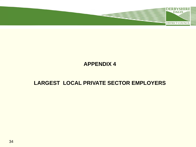

#### **APPENDIX 4**

#### **LARGEST LOCAL PRIVATE SECTOR EMPLOYERS**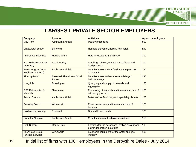

#### **LARGEST PRIVATE SECTOR EMPLOYERS**

| <b>Company</b>                                     | Location                              | <b>Activities</b>                                                               | <b>Approx. employees</b> |
|----------------------------------------------------|---------------------------------------|---------------------------------------------------------------------------------|--------------------------|
| <b>Moy Park</b>                                    | <b>Ashbourne Airfield</b>             | Poultry processing                                                              | 850                      |
| <b>Chatsworth Estate</b>                           | <b>Bakewell</b>                       | Heritage attraction, holiday lets, retail                                       | n/a                      |
| <b>Aggregate Industries</b>                        | <b>Hulland Ward</b>                   | Hard landscaping & drainage                                                     | 300                      |
| H.J. Enthoven & Sons<br>(Eco-Bat)                  | <b>South Darley</b>                   | Smelting, refining, manufacture of lead and<br>lead products                    | 200                      |
| <b>Frank Wright (Trouw</b><br>Nutrition / Nutreco) | Ashbourne Airfield                    | Manufacture of animal feed and the provision<br>of haulage                      | 190                      |
| <b>Pinelog Group</b>                               | Bakewell Riverside + Darwin<br>Forest | Manufacture of timber leisure buildings /<br>holiday lettings                   | 190                      |
| Longcliffe                                         | <b>Brassington</b>                    | Quarrying and supply of minerals and<br>aggregates                              | 150                      |
| <b>DSF Refractories &amp;</b><br><b>Minerals</b>   | Newhaven                              | Processing of minerals and the manufacture of<br>refractory products            | 120                      |
| <b>Artisan Biscuits</b>                            | Ashbourne Airfield                    | Bakers of confectionary and speciality biscuits                                 | 120                      |
| <b>Breasley Foam</b>                               | Wirksworth                            | Foam conversion and the manufacture of<br>bedding                               | 120                      |
| <b>Holdsworth Holdings</b>                         | <b>Tideswell</b>                      | Dry and frozen foods                                                            | 120                      |
| <b>Homelux Nenplas</b>                             | Ashbourne Airfield                    | Manufacture moulded plastic products                                            | 110                      |
| Firth Rixson.                                      | <b>Darley Dale</b>                    | Forgings for the aerospace, civilian nuclear and<br>power generation industries | 100                      |
| <b>Technolog Group</b><br>+Utilitec Services       | <b>Wirksworth</b>                     | Electronic equipment for the water and gas<br>industry                          | 100                      |

35 Initial list of firms with 100+ employees in the Derbyshire Dales - July 2014